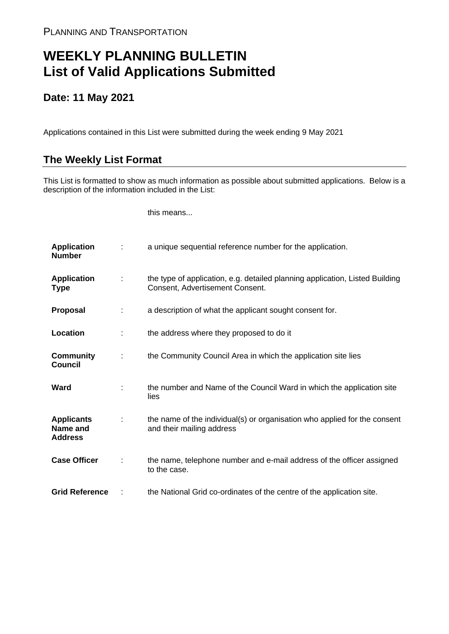## **WEEKLY PLANNING BULLETIN List of Valid Applications Submitted**

## **Date: 11 May 2021**

Applications contained in this List were submitted during the week ending 9 May 2021

## **The Weekly List Format**

This List is formatted to show as much information as possible about submitted applications. Below is a description of the information included in the List:

this means...

| <b>Application</b><br><b>Number</b>             |   | a unique sequential reference number for the application.                                                       |
|-------------------------------------------------|---|-----------------------------------------------------------------------------------------------------------------|
| <b>Application</b><br><b>Type</b>               | ÷ | the type of application, e.g. detailed planning application, Listed Building<br>Consent, Advertisement Consent. |
| Proposal                                        | ÷ | a description of what the applicant sought consent for.                                                         |
| Location                                        |   | the address where they proposed to do it                                                                        |
| <b>Community</b><br><b>Council</b>              | ÷ | the Community Council Area in which the application site lies                                                   |
| <b>Ward</b>                                     |   | the number and Name of the Council Ward in which the application site<br>lies                                   |
| <b>Applicants</b><br>Name and<br><b>Address</b> |   | the name of the individual(s) or organisation who applied for the consent<br>and their mailing address          |
| <b>Case Officer</b>                             |   | the name, telephone number and e-mail address of the officer assigned<br>to the case.                           |
| <b>Grid Reference</b>                           |   | the National Grid co-ordinates of the centre of the application site.                                           |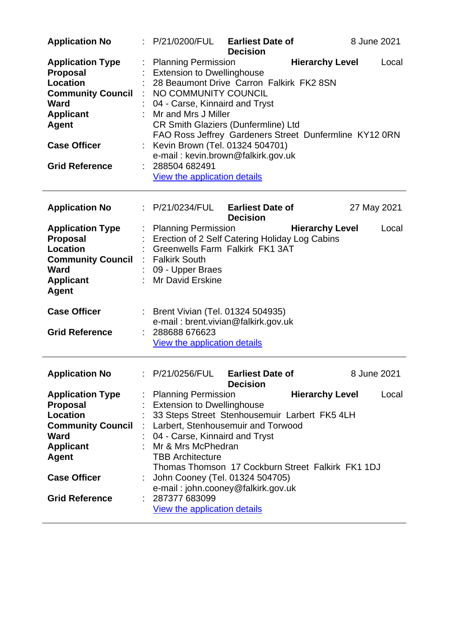| <b>Application No</b>                                                                                                                                                                        | : P/21/0200/FUL<br><b>Earliest Date of</b><br><b>Decision</b>                                                                                                                                                                                                                                                                                                                                                                                              | 8 June 2021 |  |  |
|----------------------------------------------------------------------------------------------------------------------------------------------------------------------------------------------|------------------------------------------------------------------------------------------------------------------------------------------------------------------------------------------------------------------------------------------------------------------------------------------------------------------------------------------------------------------------------------------------------------------------------------------------------------|-------------|--|--|
| <b>Application Type</b><br><b>Proposal</b><br><b>Location</b><br><b>Community Council</b><br><b>Ward</b><br><b>Applicant</b><br><b>Agent</b><br><b>Case Officer</b><br><b>Grid Reference</b> | <b>Hierarchy Level</b><br><b>Planning Permission</b><br><b>Extension to Dwellinghouse</b><br>28 Beaumont Drive Carron Falkirk FK2 8SN<br>: NO COMMUNITY COUNCIL<br>04 - Carse, Kinnaird and Tryst<br>Mr and Mrs J Miller<br>CR Smith Glaziers (Dunfermline) Ltd<br>FAO Ross Jeffrey Gardeners Street Dunfermline KY12 0RN<br>Kevin Brown (Tel. 01324 504701)<br>e-mail: kevin.brown@falkirk.gov.uk<br>288504 682491<br><b>View the application details</b> | Local       |  |  |
| <b>Application No</b>                                                                                                                                                                        | <b>Earliest Date of</b><br>: P/21/0234/FUL<br><b>Decision</b>                                                                                                                                                                                                                                                                                                                                                                                              | 27 May 2021 |  |  |
| <b>Application Type</b><br><b>Proposal</b><br><b>Location</b><br><b>Community Council</b><br><b>Ward</b><br><b>Applicant</b><br><b>Agent</b>                                                 | <b>Planning Permission</b><br><b>Hierarchy Level</b><br>Erection of 2 Self Catering Holiday Log Cabins<br>Greenwells Farm Falkirk FK1 3AT<br>: Falkirk South<br>09 - Upper Braes<br>: Mr David Erskine                                                                                                                                                                                                                                                     | Local       |  |  |
| <b>Case Officer</b><br><b>Grid Reference</b>                                                                                                                                                 | : Brent Vivian (Tel. 01324 504935)<br>e-mail: brent.vivian@falkirk.gov.uk<br>288688 676623<br>View the application details                                                                                                                                                                                                                                                                                                                                 |             |  |  |
| <b>Application No</b>                                                                                                                                                                        | P/21/0256/FUL<br><b>Earliest Date of</b><br><b>Decision</b>                                                                                                                                                                                                                                                                                                                                                                                                | 8 June 2021 |  |  |
| <b>Application Type</b><br><b>Proposal</b><br><b>Location</b><br><b>Community Council</b><br><b>Ward</b><br><b>Applicant</b><br><b>Agent</b><br><b>Case Officer</b><br><b>Grid Reference</b> | <b>Planning Permission</b><br><b>Hierarchy Level</b><br><b>Extension to Dwellinghouse</b><br>33 Steps Street Stenhousemuir Larbert FK5 4LH<br>Larbert, Stenhousemuir and Torwood<br>04 - Carse, Kinnaird and Tryst<br>Mr & Mrs McPhedran<br><b>TBB Architecture</b><br>Thomas Thomson 17 Cockburn Street Falkirk FK1 1DJ<br>John Cooney (Tel. 01324 504705)<br>e-mail: john.cooney@falkirk.gov.uk<br>287377 683099<br>View the application details         | Local       |  |  |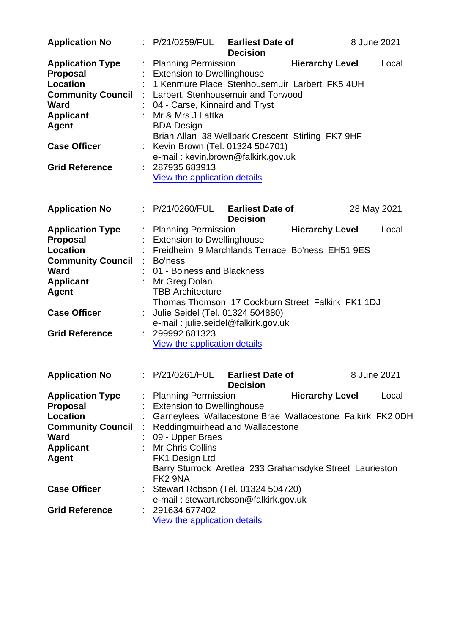| <b>Application No</b>                                                                                                                                                                 | : P/21/0259/FUL                                                                                                                                             | <b>Earliest Date of</b><br><b>Decision</b>                                                                                                                                                                                                            | 8 June 2021                     |
|---------------------------------------------------------------------------------------------------------------------------------------------------------------------------------------|-------------------------------------------------------------------------------------------------------------------------------------------------------------|-------------------------------------------------------------------------------------------------------------------------------------------------------------------------------------------------------------------------------------------------------|---------------------------------|
| <b>Application Type</b><br><b>Proposal</b><br><b>Location</b><br><b>Community Council</b><br>Ward<br><b>Applicant</b><br><b>Agent</b><br><b>Case Officer</b><br><b>Grid Reference</b> | <b>Planning Permission</b><br><b>Extension to Dwellinghouse</b><br>Mr & Mrs J Lattka<br><b>BDA Design</b><br>: 287935683913<br>View the application details | 1 Kenmure Place Stenhousemuir Larbert FK5 4UH<br>Larbert, Stenhousemuir and Torwood<br>04 - Carse, Kinnaird and Tryst<br>Brian Allan 38 Wellpark Crescent Stirling FK7 9HF<br>: Kevin Brown (Tel. 01324 504701)<br>e-mail: kevin.brown@falkirk.gov.uk | <b>Hierarchy Level</b><br>Local |
|                                                                                                                                                                                       |                                                                                                                                                             |                                                                                                                                                                                                                                                       |                                 |
| <b>Application No</b>                                                                                                                                                                 | : P/21/0260/FUL                                                                                                                                             | <b>Earliest Date of</b><br><b>Decision</b>                                                                                                                                                                                                            | 28 May 2021                     |
| <b>Application Type</b><br><b>Proposal</b>                                                                                                                                            | <b>Planning Permission</b><br><b>Extension to Dwellinghouse</b>                                                                                             |                                                                                                                                                                                                                                                       | <b>Hierarchy Level</b><br>Local |
| Location                                                                                                                                                                              |                                                                                                                                                             | Freidheim 9 Marchlands Terrace Bo'ness EH51 9ES                                                                                                                                                                                                       |                                 |
| <b>Community Council</b>                                                                                                                                                              | : Bo'ness                                                                                                                                                   |                                                                                                                                                                                                                                                       |                                 |
| Ward                                                                                                                                                                                  | 01 - Bo'ness and Blackness                                                                                                                                  |                                                                                                                                                                                                                                                       |                                 |
| <b>Applicant</b>                                                                                                                                                                      | Mr Greg Dolan                                                                                                                                               |                                                                                                                                                                                                                                                       |                                 |
| <b>Agent</b>                                                                                                                                                                          | <b>TBB Architecture</b>                                                                                                                                     |                                                                                                                                                                                                                                                       |                                 |
|                                                                                                                                                                                       |                                                                                                                                                             | Thomas Thomson 17 Cockburn Street Falkirk FK1 1DJ                                                                                                                                                                                                     |                                 |
| <b>Case Officer</b>                                                                                                                                                                   |                                                                                                                                                             | Julie Seidel (Tel. 01324 504880)                                                                                                                                                                                                                      |                                 |
|                                                                                                                                                                                       |                                                                                                                                                             | e-mail: julie.seidel@falkirk.gov.uk                                                                                                                                                                                                                   |                                 |
| <b>Grid Reference</b>                                                                                                                                                                 | 299992 681323                                                                                                                                               |                                                                                                                                                                                                                                                       |                                 |
|                                                                                                                                                                                       | <u>View the application details</u>                                                                                                                         |                                                                                                                                                                                                                                                       |                                 |
| <b>Application No</b>                                                                                                                                                                 | P/21/0261/FUL                                                                                                                                               | <b>Earliest Date of</b><br><b>Decision</b>                                                                                                                                                                                                            | 8 June 2021                     |
| <b>Application Type</b>                                                                                                                                                               | <b>Planning Permission</b>                                                                                                                                  |                                                                                                                                                                                                                                                       | <b>Hierarchy Level</b><br>Local |
| <b>Proposal</b>                                                                                                                                                                       | <b>Extension to Dwellinghouse</b>                                                                                                                           |                                                                                                                                                                                                                                                       |                                 |
| <b>Location</b>                                                                                                                                                                       |                                                                                                                                                             | Garneylees Wallacestone Brae Wallacestone Falkirk FK2 0DH                                                                                                                                                                                             |                                 |
| <b>Community Council</b>                                                                                                                                                              |                                                                                                                                                             | Reddingmuirhead and Wallacestone                                                                                                                                                                                                                      |                                 |
| <b>Ward</b>                                                                                                                                                                           | 09 - Upper Braes                                                                                                                                            |                                                                                                                                                                                                                                                       |                                 |
| <b>Applicant</b>                                                                                                                                                                      | <b>Mr Chris Collins</b>                                                                                                                                     |                                                                                                                                                                                                                                                       |                                 |
| <b>Agent</b>                                                                                                                                                                          | FK1 Design Ltd                                                                                                                                              |                                                                                                                                                                                                                                                       |                                 |
|                                                                                                                                                                                       |                                                                                                                                                             | Barry Sturrock Aretlea 233 Grahamsdyke Street Laurieston                                                                                                                                                                                              |                                 |
|                                                                                                                                                                                       |                                                                                                                                                             |                                                                                                                                                                                                                                                       |                                 |
|                                                                                                                                                                                       | FK2 9NA                                                                                                                                                     |                                                                                                                                                                                                                                                       |                                 |
| <b>Case Officer</b>                                                                                                                                                                   |                                                                                                                                                             | Stewart Robson (Tel. 01324 504720)                                                                                                                                                                                                                    |                                 |
| <b>Grid Reference</b>                                                                                                                                                                 | 291634 677402                                                                                                                                               | e-mail: stewart.robson@falkirk.gov.uk                                                                                                                                                                                                                 |                                 |
|                                                                                                                                                                                       | View the application details                                                                                                                                |                                                                                                                                                                                                                                                       |                                 |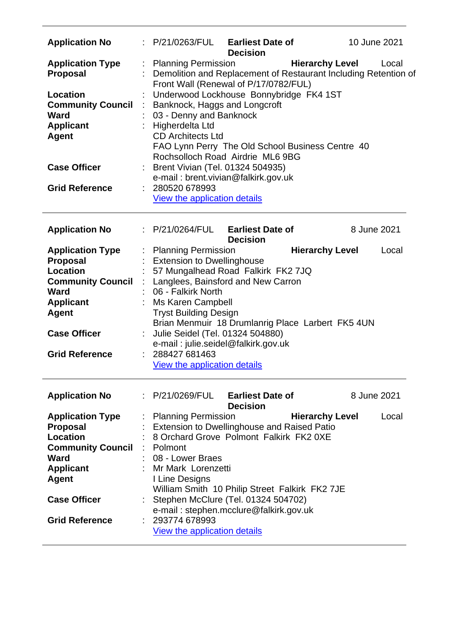| <b>Application No</b>                                                            |                      | P/21/0263/FUL<br><b>Earliest Date of</b><br>10 June 2021<br><b>Decision</b>                                                                                                                                                                                                                                                                                                                                             |       |  |  |  |
|----------------------------------------------------------------------------------|----------------------|-------------------------------------------------------------------------------------------------------------------------------------------------------------------------------------------------------------------------------------------------------------------------------------------------------------------------------------------------------------------------------------------------------------------------|-------|--|--|--|
| <b>Application Type</b><br><b>Proposal</b>                                       | ÷                    | <b>Hierarchy Level</b><br><b>Planning Permission</b><br>Local<br>Demolition and Replacement of Restaurant Including Retention of<br>Front Wall (Renewal of P/17/0782/FUL)<br>Underwood Lockhouse Bonnybridge FK4 1ST<br>Banknock, Haggs and Longcroft<br>03 - Denny and Banknock<br>Higherdelta Ltd<br><b>CD Architects Ltd</b><br>FAO Lynn Perry The Old School Business Centre 40<br>Rochsolloch Road Airdrie ML6 9BG |       |  |  |  |
| Location<br><b>Community Council</b><br><b>Ward</b><br><b>Applicant</b><br>Agent | $\ddot{\phantom{a}}$ |                                                                                                                                                                                                                                                                                                                                                                                                                         |       |  |  |  |
| <b>Case Officer</b>                                                              |                      | Brent Vivian (Tel. 01324 504935)<br>e-mail: brent.vivian@falkirk.gov.uk                                                                                                                                                                                                                                                                                                                                                 |       |  |  |  |
| <b>Grid Reference</b>                                                            |                      | 280520 678993<br><b>View the application details</b>                                                                                                                                                                                                                                                                                                                                                                    |       |  |  |  |
| <b>Application No</b>                                                            |                      | : P/21/0264/FUL<br><b>Earliest Date of</b><br>8 June 2021<br><b>Decision</b>                                                                                                                                                                                                                                                                                                                                            |       |  |  |  |
| <b>Application Type</b>                                                          | ÷                    | <b>Hierarchy Level</b><br><b>Planning Permission</b>                                                                                                                                                                                                                                                                                                                                                                    | Local |  |  |  |
| <b>Proposal</b>                                                                  |                      | <b>Extension to Dwellinghouse</b>                                                                                                                                                                                                                                                                                                                                                                                       |       |  |  |  |
| <b>Location</b>                                                                  |                      | 57 Mungalhead Road Falkirk FK2 7JQ                                                                                                                                                                                                                                                                                                                                                                                      |       |  |  |  |
| <b>Community Council</b>                                                         | $\mathcal{L}$        | Langlees, Bainsford and New Carron                                                                                                                                                                                                                                                                                                                                                                                      |       |  |  |  |
| <b>Ward</b>                                                                      |                      | 06 - Falkirk North                                                                                                                                                                                                                                                                                                                                                                                                      |       |  |  |  |
| <b>Applicant</b>                                                                 |                      | Ms Karen Campbell                                                                                                                                                                                                                                                                                                                                                                                                       |       |  |  |  |
| <b>Agent</b>                                                                     |                      | <b>Tryst Building Design</b>                                                                                                                                                                                                                                                                                                                                                                                            |       |  |  |  |
| <b>Case Officer</b>                                                              |                      | Brian Menmuir 18 Drumlanrig Place Larbert FK5 4UN<br>Julie Seidel (Tel. 01324 504880)                                                                                                                                                                                                                                                                                                                                   |       |  |  |  |
|                                                                                  |                      | e-mail: julie.seidel@falkirk.gov.uk                                                                                                                                                                                                                                                                                                                                                                                     |       |  |  |  |
| <b>Grid Reference</b>                                                            |                      | 288427 681463                                                                                                                                                                                                                                                                                                                                                                                                           |       |  |  |  |
|                                                                                  |                      | <b>View the application details</b>                                                                                                                                                                                                                                                                                                                                                                                     |       |  |  |  |
| <b>Application No</b>                                                            |                      | P/21/0269/FUL<br><b>Earliest Date of</b><br>8 June 2021<br><b>Decision</b>                                                                                                                                                                                                                                                                                                                                              |       |  |  |  |
| <b>Application Type</b>                                                          |                      | <b>Hierarchy Level</b><br><b>Planning Permission</b>                                                                                                                                                                                                                                                                                                                                                                    | Local |  |  |  |
| <b>Proposal</b>                                                                  |                      | <b>Extension to Dwellinghouse and Raised Patio</b>                                                                                                                                                                                                                                                                                                                                                                      |       |  |  |  |
| <b>Location</b>                                                                  |                      | 8 Orchard Grove Polmont Falkirk FK2 0XE                                                                                                                                                                                                                                                                                                                                                                                 |       |  |  |  |
| <b>Community Council</b>                                                         |                      | Polmont                                                                                                                                                                                                                                                                                                                                                                                                                 |       |  |  |  |
| <b>Ward</b>                                                                      |                      | 08 - Lower Braes                                                                                                                                                                                                                                                                                                                                                                                                        |       |  |  |  |
| <b>Applicant</b>                                                                 |                      | Mr Mark Lorenzetti                                                                                                                                                                                                                                                                                                                                                                                                      |       |  |  |  |
| <b>Agent</b>                                                                     |                      | I Line Designs<br>William Smith 10 Philip Street Falkirk FK2 7JE                                                                                                                                                                                                                                                                                                                                                        |       |  |  |  |
|                                                                                  |                      |                                                                                                                                                                                                                                                                                                                                                                                                                         |       |  |  |  |
|                                                                                  |                      |                                                                                                                                                                                                                                                                                                                                                                                                                         |       |  |  |  |
| <b>Case Officer</b>                                                              |                      | Stephen McClure (Tel. 01324 504702)                                                                                                                                                                                                                                                                                                                                                                                     |       |  |  |  |
|                                                                                  |                      | e-mail: stephen.mcclure@falkirk.gov.uk                                                                                                                                                                                                                                                                                                                                                                                  |       |  |  |  |
| <b>Grid Reference</b>                                                            |                      | 293774 678993<br>View the application details                                                                                                                                                                                                                                                                                                                                                                           |       |  |  |  |